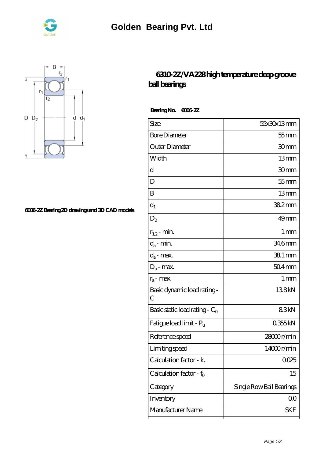



## **[6006-2Z Bearing 2D drawings and 3D CAD models](https://nrflci.com/pic-64670702.html)**

## **[6310-2Z/VA228 high temperature deep groove](https://nrflci.com/sale-64670702-6310-2z-va228-high-temperature-deep-groove-ball-bearings.html) [ball bearings](https://nrflci.com/sale-64670702-6310-2z-va228-high-temperature-deep-groove-ball-bearings.html)**

 **Bearing No. 6006-2Z**

| Size                                | 55x30x13mm               |
|-------------------------------------|--------------------------|
| <b>Bore Diameter</b>                | $55$ mm                  |
| Outer Diameter                      | 30mm                     |
| Width                               | 13mm                     |
| d                                   | 30mm                     |
| D                                   | $55$ mm                  |
| B                                   | 13mm                     |
| $d_1$                               | 382mm                    |
| $D_2$                               | 49 <sub>mm</sub>         |
| $r_{1,2}$ - min.                    | 1 <sub>mm</sub>          |
| $d_a$ - min.                        | 346mm                    |
| $d_a$ - max.                        | 381 mm                   |
| $D_a$ - max.                        | $504$ mm                 |
| $r_a$ - max.                        | $1 \,\mathrm{mm}$        |
| Basic dynamic load rating-<br>С     | 138kN                    |
| Basic static load rating - $C_0$    | 83kN                     |
| Fatigue load limit - P <sub>u</sub> | 0355kN                   |
| Reference speed                     | 28000r/min               |
| Limiting speed                      | 14000r/min               |
| Calculation factor - k <sub>r</sub> | 0025                     |
| Calculation factor - $f_0$          | 15                       |
| Category                            | Single Row Ball Bearings |
| Inventory                           | 00                       |
| Manufacturer Name                   | <b>SKF</b>               |
|                                     |                          |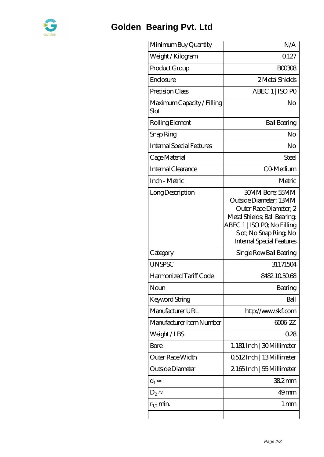

## **[Golden Bearing Pvt. Ltd](https://nrflci.com)**

| Minimum Buy Quantity               | N/A                                                                                                                                                                                                   |
|------------------------------------|-------------------------------------------------------------------------------------------------------------------------------------------------------------------------------------------------------|
| Weight / Kilogram                  | 0.127                                                                                                                                                                                                 |
| Product Group                      | <b>BOO308</b>                                                                                                                                                                                         |
| Enclosure                          | 2 Metal Shields                                                                                                                                                                                       |
| Precision Class                    | ABEC 1   ISO PO                                                                                                                                                                                       |
| Maximum Capacity / Filling<br>Slot | No                                                                                                                                                                                                    |
| Rolling Element                    | <b>Ball Bearing</b>                                                                                                                                                                                   |
| Snap Ring                          | N <sub>o</sub>                                                                                                                                                                                        |
| <b>Internal Special Features</b>   | No                                                                                                                                                                                                    |
| Cage Material                      | Steel                                                                                                                                                                                                 |
| Internal Clearance                 | CO-Medium                                                                                                                                                                                             |
| Inch - Metric                      | Metric                                                                                                                                                                                                |
| Long Description                   | <b>30MM Bore: 55MM</b><br>Outside Diameter; 13MM<br>Outer Race Diameter; 2<br>Metal Shields; Ball Bearing;<br>ABEC 1   ISO PQ No Filling<br>Slot; No Snap Ring No<br><b>Internal Special Features</b> |
| Category                           | Single Row Ball Bearing                                                                                                                                                                               |
| <b>UNSPSC</b>                      | 31171504                                                                                                                                                                                              |
| Harmonized Tariff Code             | 8482105068                                                                                                                                                                                            |
| Noun                               | Bearing                                                                                                                                                                                               |
| Keyword String                     | Ball                                                                                                                                                                                                  |
| Manufacturer URL                   | http://www.skf.com                                                                                                                                                                                    |
| Manufacturer Item Number           | 6006 ZZ                                                                                                                                                                                               |
| Weight/LBS                         | 028                                                                                                                                                                                                   |
| Bore                               | 1.181 Inch   30 Millimeter                                                                                                                                                                            |
| Outer Race Width                   | 0512Inch   13Millimeter                                                                                                                                                                               |
| Outside Diameter                   | 2165Inch   55 Millimeter                                                                                                                                                                              |
| $d_1$                              | 382mm                                                                                                                                                                                                 |
| $D_2$                              | 49 <sub>mm</sub>                                                                                                                                                                                      |
| $r_{1,2}$ min.                     | 1 mm                                                                                                                                                                                                  |
|                                    |                                                                                                                                                                                                       |